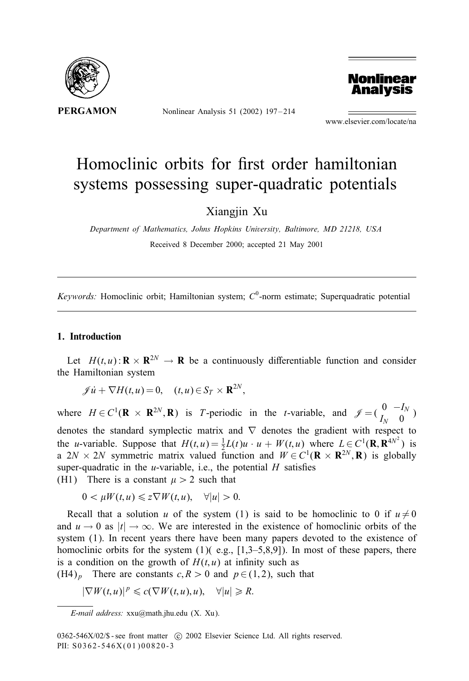

Nonlinear Analysis 51 (2002) 197 – 214



www.elsevier.com/locate/na

# Homoclinic orbits for first order hamiltonian systems possessing super-quadratic potentials

Xiangjin Xu

*Department of Mathematics, Johns Hopkins University, Baltimore, MD 21218, USA* Received 8 December 2000; accepted 21 May 2001

 $Keywords$ : Homoclinic orbit; Hamiltonian system;  $C^0$ -norm estimate; Superquadratic potential

# 1. Introduction

Let  $H(t, u)$ :  $\mathbf{R} \times \mathbf{R}^{2N} \to \mathbf{R}$  be a continuously differentiable function and consider the Hamiltonian system

 $\mathscr{J} \dot{u} + \nabla H(t, u) = 0, \quad (t, u) \in S_T \times \mathbf{R}^{2N},$ 

where  $H \in C^1(\mathbf{R} \times \mathbf{R}^{2N}, \mathbf{R})$  is T-periodic in the t-variable, and  $\mathcal{J} = \begin{pmatrix} 0 & -I_N \\ I_N & 0 \end{pmatrix}$ denotes the standard symplectic matrix and ∇ denotes the gradient with respect to the *u*-variable. Suppose that  $H(t, u) = \frac{1}{2}L(t)u \cdot u + W(t, u)$  where  $L \in C^1(\mathbf{R}, \mathbf{R}^{4N^2})$  is a  $2N \times 2N$  symmetric matrix valued function and  $W \in C^1(\mathbf{R} \times \mathbf{R}^{2N}, \mathbf{R})$  is globally super-quadratic in the *u*-variable, i.e., the potential  $H$  satisfies (H1) There is a constant  $\mu > 2$  such that

 $0 \leq \mu W(t, u) \leq z \nabla W(t, u), \quad \forall |u| > 0.$ 

Recall that a solution u of the system (1) is said to be homoclinic to 0 if  $u \neq 0$ and  $u \to 0$  as  $|t| \to \infty$ . We are interested in the existence of homoclinic orbits of the system (1). In recent years there have been many papers devoted to the existence of homoclinic orbits for the system  $(1)$  (e.g.,  $[1,3-5,8,9]$ ). In most of these papers, there is a condition on the growth of  $H(t, u)$  at infinity such as

(H4)<sub>p</sub> There are constants  $c, R > 0$  and  $p \in (1, 2)$ , such that

$$
|\nabla W(t, u)|^p \leq c(\nabla W(t, u), u), \quad \forall |u| \geq R.
$$

*E-mail address:* xxu@math.jhu.edu (X. Xu).

<sup>0362-546</sup>X/02/\$ - see front matter (c) 2002 Elsevier Science Ltd. All rights reserved. PII: S0362-546X(01)00820-3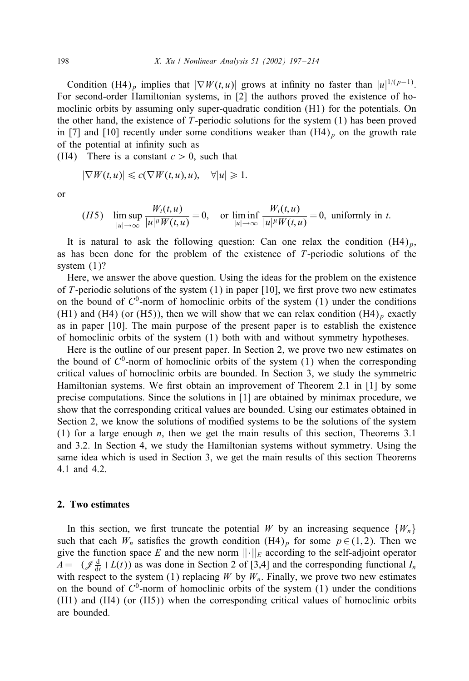Condition (H4)<sub>p</sub> implies that  $|\nabla W(t, u)|$  grows at infinity no faster than  $|u|^{1/(p-1)}$ . For second-order Hamiltonian systems, in [2] the authors proved the existence of homoclinic orbits by assuming only super-quadratic condition (H1) for the potentials. On the other hand, the existence of T-periodic solutions for the system (1) has been proved in [7] and [10] recently under some conditions weaker than  $(H4)_p$  on the growth rate of the potential at infinity such as

(H4) There is a constant  $c > 0$ , such that

$$
|\nabla W(t, u)| \leq c(\nabla W(t, u), u), \quad \forall |u| \geq 1.
$$

or

$$
(H5) \quad \limsup_{|u| \to \infty} \frac{W_t(t, u)}{|u|^{\mu} W(t, u)} = 0, \quad \text{or } \liminf_{|u| \to \infty} \frac{W_t(t, u)}{|u|^{\mu} W(t, u)} = 0, \text{ uniformly in } t.
$$

It is natural to ask the following question: Can one relax the condition  $(H4)_p$ , as has been done for the problem of the existence of T-periodic solutions of the system  $(1)$ ?

Here, we answer the above question. Using the ideas for the problem on the existence of T-periodic solutions of the system  $(1)$  in paper [10], we first prove two new estimates on the bound of  $C^0$ -norm of homoclinic orbits of the system  $(1)$  under the conditions (H1) and (H4) (or (H5)), then we will show that we can relax condition  $(H4)_p$  exactly as in paper [10]. The main purpose of the present paper is to establish the existence of homoclinic orbits of the system (1) both with and without symmetry hypotheses.

Here is the outline of our present paper. In Section 2, we prove two new estimates on the bound of  $C^0$ -norm of homoclinic orbits of the system (1) when the corresponding critical values of homoclinic orbits are bounded. In Section 3, we study the symmetric Hamiltonian systems. We first obtain an improvement of Theorem 2.1 in  $[1]$  by some precise computations. Since the solutions in [1] are obtained by minimax procedure, we show that the corresponding critical values are bounded. Using our estimates obtained in Section 2, we know the solutions of modified systems to be the solutions of the system (1) for a large enough n, then we get the main results of this section, Theorems 3.1 and 3.2. In Section 4, we study the Hamiltonian systems without symmetry. Using the same idea which is used in Section 3, we get the main results of this section Theorems 4.1 and 4.2.

## 2. Two estimates

In this section, we first truncate the potential W by an increasing sequence  $\{W_n\}$ such that each  $W_n$  satisfies the growth condition  $(H4)_p$  for some  $p \in (1, 2)$ . Then we give the function space E and the new norm  $||\cdot||_E$  according to the self-adjoint operator  $A = -(\mathcal{J}_{dt}^d + L(t))$  as was done in Section 2 of [3,4] and the corresponding functional  $I_n$ with respect to the system (1) replacing W by  $W_n$ . Finally, we prove two new estimates on the bound of  $C^0$ -norm of homoclinic orbits of the system (1) under the conditions (H1) and (H4) (or (H5)) when the corresponding critical values of homoclinic orbits are bounded.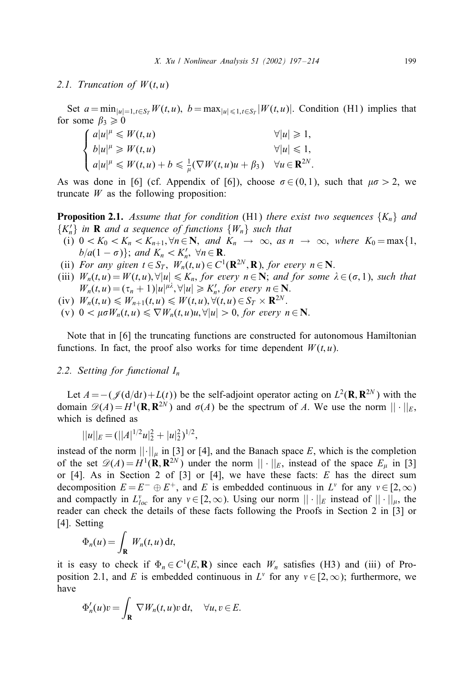#### 2.1. Truncation of  $W(t, u)$

Set  $a = \min_{|u|=1, t \in S_T} W(t, u)$ ,  $b = \max_{|u| \leq 1, t \in S_T} |W(t, u)|$ . Condition (H1) implies that for some  $\beta_3 \geq 0$ 

$$
\begin{cases}\n a|u|^{\mu} \leq W(t,u) & \forall |u| \geq 1, \\
b|u|^{\mu} \geq W(t,u) & \forall |u| \leq 1, \\
a|u|^{\mu} \leq W(t,u) + b \leq \frac{1}{\mu}(\nabla W(t,u)u + \beta_3) & \forall u \in \mathbf{R}^{2N}.\n\end{cases}
$$

As was done in [6] (cf. Appendix of [6]), choose  $\sigma \in (0,1)$ , such that  $\mu \sigma > 2$ , we truncate  $W$  as the following proposition:

**Proposition 2.1.** Assume that for condition (H1) there exist two sequences  $\{K_n\}$  and  ${K'_n}$  *in* **R** *and a sequence of functions*  ${W_n}$  *such that* 

- (i)  $0 < K_0 < K_n < K_{n+1}, \forall n \in \mathbb{N}, \text{ and } K_n \rightarrow \infty, \text{ as } n \rightarrow \infty, \text{ where } K_0 = \max\{1,$  $b/a(1-\sigma)$ ; and  $K_n < K'_n$ ,  $\forall n \in \mathbf{R}$ .
- (ii) *For any given*  $t \in S_T$ ,  $W_n(t, u) \in C^1(\mathbf{R}^{2N}, \mathbf{R})$ , *for every*  $n \in \mathbf{N}$ .
- (iii)  $W_n(t, u) = W(t, u), \forall |u| \leq K_n$ , *for every*  $n \in \mathbb{N}$ ; *and for some*  $\lambda \in (\sigma, 1)$ , *such that*  $W_n(t, u) = (\tau_n + 1)|u|^{\mu\lambda}, \forall |u| \geq K'_n$ , for every  $n \in \mathbb{N}$ .
- (iv)  $W_n(t, u) \leq W_{n+1}(t, u) \leq W(t, u), \forall (t, u) \in S_T \times \mathbf{R}^{2N}$ .
- (v)  $0 < \mu \sigma W_n(t, u) \leq \nabla W_n(t, u) u, \forall |u| > 0$ , for every  $n \in \mathbb{N}$ .

Note that in [6] the truncating functions are constructed for autonomous Hamiltonian functions. In fact, the proof also works for time dependent  $W(t, u)$ .

## *2.2. Setting for functional* In

Let  $A = -(\mathcal{J}(d/dt)+L(t))$  be the self-adjoint operator acting on  $L^2(\mathbf{R}, \mathbf{R}^{2N})$  with the domain  $\mathscr{D}(A) = H^1(\mathbf{R}, \mathbf{R}^{2N})$  and  $\sigma(A)$  be the spectrum of A. We use the norm  $|| \cdot ||_E$ , which is defined as

$$
||u||_E = (||A|^{1/2}u|_2^2 + |u|_2^2)^{1/2},
$$

instead of the norm  $|| \cdot ||_{\mu}$  in [3] or [4], and the Banach space E, which is the completion of the set  $\mathscr{D}(A) = H^1(\mathbf{R}, \mathbf{R}^{2N})$  under the norm  $|| \cdot ||_E$ , instead of the space  $E_u$  in [3] or [4]. As in Section 2 of [3] or [4], we have these facts:  $E$  has the direct sum decomposition  $E = E^- \oplus E^+$ , and E is embedded continuous in  $L^v$  for any  $v \in [2, \infty)$ and compactly in  $L_{loc}^{\nu}$  for any  $\nu \in [2,\infty)$ . Using our norm  $||\cdot||_{E}$  instead of  $||\cdot||_{\mu}$ , the reader can check the details of these facts following the Proofs in Section 2 in [3] or [4]. Setting

$$
\Phi_n(u) = \int_{\mathbf{R}} W_n(t, u) \, \mathrm{d}t,
$$

it is easy to check if  $\Phi_n \in C^1(E, \mathbf{R})$  since each  $W_n$  satisfies (H3) and (iii) of Proposition 2.1, and E is embedded continuous in  $L^{\nu}$  for any  $\nu \in [2,\infty)$ ; furthermore, we have

$$
\Phi'_n(u)v = \int_{\mathbf{R}} \nabla W_n(t, u)v \, \mathrm{d}t, \quad \forall u, v \in E.
$$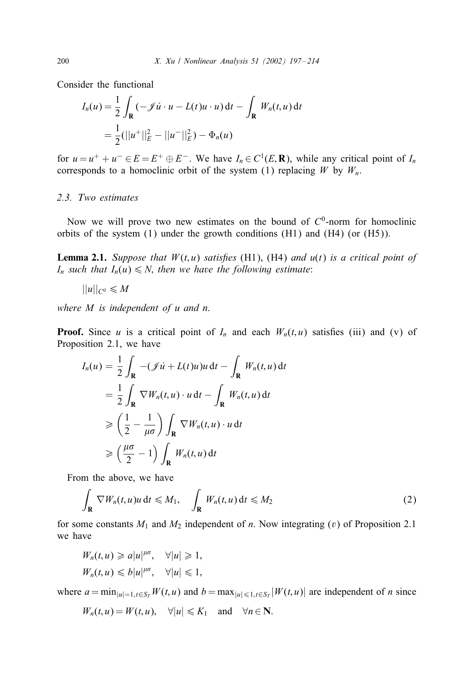Consider the functional

$$
I_n(u) = \frac{1}{2} \int_{\mathbf{R}} (-\mathcal{J}u \cdot u - L(t)u \cdot u) dt - \int_{\mathbf{R}} W_n(t, u) dt
$$
  
= 
$$
\frac{1}{2} (||u^+||_E^2 - ||u^-||_E^2) - \Phi_n(u)
$$

for  $u = u^+ + u^- \in E = E^+ \oplus E^-$ . We have  $I_n \in C^1(E, \mathbf{R})$ , while any critical point of  $I_n$ corresponds to a homoclinic orbit of the system (1) replacing  $W$  by  $W_n$ .

# *2.3. Two estimates*

Now we will prove two new estimates on the bound of  $C<sup>0</sup>$ -norm for homoclinic orbits of the system  $(1)$  under the growth conditions  $(H1)$  and  $(H4)$  (or  $(H5)$ ).

**Lemma 2.1.** *Suppose that*  $W(t, u)$  *satisfies* (H1), (H4) *and*  $u(t)$  *is a critical point of*  $I_n$  *such that*  $I_n(u) \le N$ , *then we have the following estimate*:

$$
||u||_{C^0}\leqslant M
$$

*where* M *is independent of u and n*.

**Proof.** Since u is a critical point of  $I_n$  and each  $W_n(t, u)$  satisfies (iii) and (v) of Proposition 2.1, we have

$$
I_n(u) = \frac{1}{2} \int_{\mathbf{R}} -( \mathcal{J}u + L(t)u)u \, dt - \int_{\mathbf{R}} W_n(t, u) \, dt
$$
  

$$
= \frac{1}{2} \int_{\mathbf{R}} \nabla W_n(t, u) \cdot u \, dt - \int_{\mathbf{R}} W_n(t, u) \, dt
$$
  

$$
\geq \left(\frac{1}{2} - \frac{1}{\mu \sigma}\right) \int_{\mathbf{R}} \nabla W_n(t, u) \cdot u \, dt
$$
  

$$
\geq \left(\frac{\mu \sigma}{2} - 1\right) \int_{\mathbf{R}} W_n(t, u) \, dt
$$

From the above, we have

$$
\int_{\mathbf{R}} \nabla W_n(t, u)u \, \mathrm{d}t \leq M_1, \quad \int_{\mathbf{R}} W_n(t, u) \, \mathrm{d}t \leq M_2 \tag{2}
$$

for some constants  $M_1$  and  $M_2$  independent of n. Now integrating (v) of Proposition 2.1 we have

$$
W_n(t, u) \ge a|u|^{\mu\sigma}, \quad \forall |u| \ge 1,
$$
  

$$
W_n(t, u) \le b|u|^{\mu\sigma}, \quad \forall |u| \le 1,
$$

where  $a = \min_{|u|=1, t \in S_T} W(t, u)$  and  $b = \max_{|u| \leq 1, t \in S_T} |W(t, u)|$  are independent of n since

$$
W_n(t, u) = W(t, u), \quad \forall |u| \leq K_1 \quad \text{and} \quad \forall n \in \mathbb{N}.
$$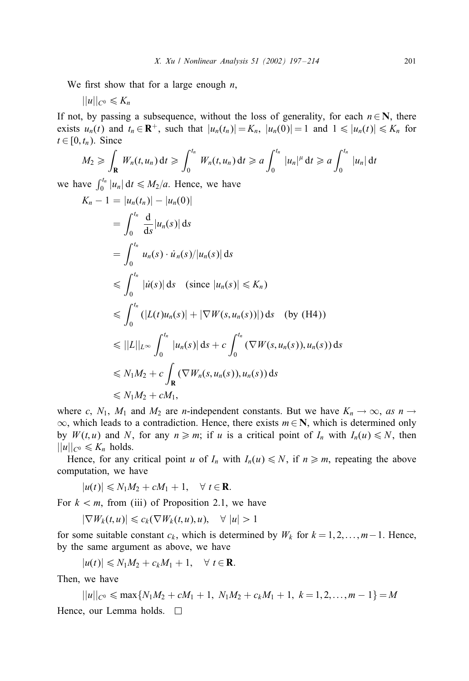We first show that for a large enough  $n$ ,

$$
||u||_{C^0}\leqslant K_n
$$

If not, by passing a subsequence, without the loss of generality, for each  $n \in \mathbb{N}$ , there exists  $u_n(t)$  and  $t_n \in \mathbf{R}^+$ , such that  $|u_n(t_n)| = K_n$ ,  $|u_n(0)| = 1$  and  $1 \leq |u_n(t)| \leq K_n$  for  $t \in [0, t_n)$ . Since

$$
M_2 \geqslant \int_{\mathbf{R}} W_n(t, u_n) dt \geqslant \int_0^{t_n} W_n(t, u_n) dt \geqslant a \int_0^{t_n} |u_n|^\mu dt \geqslant a \int_0^{t_n} |u_n| dt
$$

we have  $\int_0^{t_n} |u_n| dt \leq M_2/a$ . Hence, we have

$$
K_n - 1 = |u_n(t_n)| - |u_n(0)|
$$
  
\n
$$
= \int_0^{t_n} \frac{d}{ds} |u_n(s)| ds
$$
  
\n
$$
= \int_0^{t_n} u_n(s) \cdot \dot{u}_n(s)/|u_n(s)| ds
$$
  
\n
$$
\leq \int_0^{t_n} |u(s)| ds \quad \text{(since } |u_n(s)| \leq K_n)
$$
  
\n
$$
\leq \int_0^{t_n} (|L(t)u_n(s)| + |\nabla W(s, u_n(s))|) ds \quad \text{(by (H4))}
$$
  
\n
$$
\leq ||L||_{L^{\infty}} \int_0^{t_n} |u_n(s)| ds + c \int_0^{t_n} (\nabla W(s, u_n(s)), u_n(s)) ds
$$
  
\n
$$
\leq N_1 M_2 + c \int_{\mathbf{R}} (\nabla W_n(s, u_n(s)), u_n(s)) ds
$$
  
\n
$$
\leq N_1 M_2 + c M_1,
$$

where c,  $N_1$ ,  $M_1$  and  $M_2$  are *n*-independent constants. But we have  $K_n \to \infty$ , *as*  $n \to \infty$  $\infty$ , which leads to a contradiction. Hence, there exists  $m \in \mathbb{N}$ , which is determined only by  $W(t, u)$  and N, for any  $n \ge m$ ; if u is a critical point of  $I_n$  with  $I_n(u) \le N$ , then  $||u||_{C^0} \leq K_n$  holds.

Hence, for any critical point u of  $I_n$  with  $I_n(u) \le N$ , if  $n \ge m$ , repeating the above computation, we have

$$
|u(t)| \leq N_1 M_2 + cM_1 + 1, \quad \forall \ t \in \mathbf{R}.
$$

For  $k < m$ , from (iii) of Proposition 2.1, we have

$$
|\nabla W_k(t, u)| \leq c_k(\nabla W_k(t, u), u), \quad \forall |u| > 1
$$

for some suitable constant  $c_k$ , which is determined by  $W_k$  for  $k = 1, 2, \ldots, m-1$ . Hence, by the same argument as above, we have

$$
|u(t)| \leq N_1 M_2 + c_k M_1 + 1, \quad \forall \ t \in \mathbf{R}.
$$

Then, we have

 $||u||_{C^0} \le \max\{N_1M_2 + cM_1 + 1, N_1M_2 + c_kM_1 + 1, k = 1, 2, ..., m-1\} = M$ Hence, our Lemma holds.  $\square$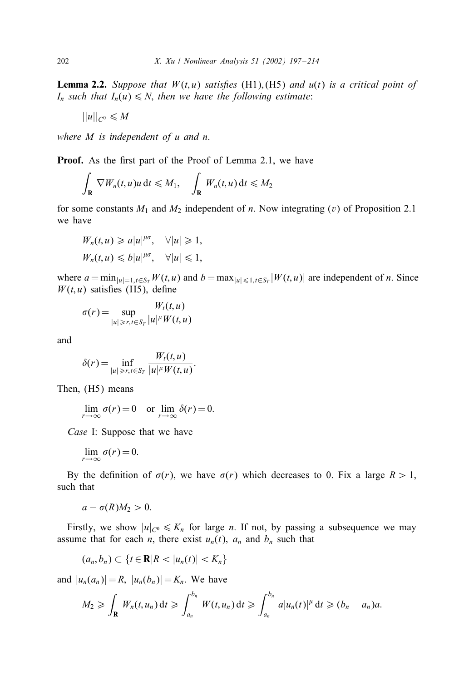**Lemma 2.2.** *Suppose that*  $W(t, u)$  *satisfies* (H1), (H5) *and*  $u(t)$  *is a critical point of*  $I_n$  *such that*  $I_n(u) \leq N$ , *then we have the following estimate*:

 $||u||_{C^0} \leqslant M$ 

*where* M *is independent of* u *and* n.

Proof. As the first part of the Proof of Lemma 2.1, we have

$$
\int_{\mathbf{R}} \nabla W_n(t, u)u \, \mathrm{d}t \leq M_1, \quad \int_{\mathbf{R}} W_n(t, u) \, \mathrm{d}t \leq M_2
$$

for some constants  $M_1$  and  $M_2$  independent of n. Now integrating (v) of Proposition 2.1 we have

$$
W_n(t, u) \geq a|u|^{\mu\sigma}, \quad \forall |u| \geq 1,
$$
  

$$
W_n(t, u) \leq b|u|^{\mu\sigma}, \quad \forall |u| \leq 1,
$$

where  $a = \min_{|u|=1, t \in S_T} W(t, u)$  and  $b = \max_{|u| \leq 1, t \in S_T} |W(t, u)|$  are independent of *n*. Since  $W(t, u)$  satisfies (H5), define

$$
\sigma(r) = \sup_{|u| \ge r, t \in S_T} \frac{W_t(t, u)}{|u|^{\mu} W(t, u)}
$$

and

$$
\delta(r) = \inf_{|u| \ge r, t \in S_T} \frac{W_t(t, u)}{|u|^{\mu} W(t, u)}.
$$

Then, (H5) means

$$
\lim_{r \to \infty} \sigma(r) = 0 \quad \text{or } \lim_{r \to \infty} \delta(r) = 0.
$$

*Case* I: Suppose that we have

$$
\lim_{r\to\infty}\sigma(r)=0.
$$

By the definition of  $\sigma(r)$ , we have  $\sigma(r)$  which decreases to 0. Fix a large  $R > 1$ , such that

$$
a-\sigma(R)M_2>0.
$$

Firstly, we show  $|u|_{C^0} \leq K_n$  for large *n*. If not, by passing a subsequence we may assume that for each *n*, there exist  $u_n(t)$ ,  $a_n$  and  $b_n$  such that

$$
(a_n,b_n)\subset \{t\in\mathbf{R}|R<|u_n(t)|
$$

and  $|u_n(a_n)| = R$ ,  $|u_n(b_n)| = K_n$ . We have

$$
M_2 \geqslant \int_{\mathbf{R}} W_n(t,u_n) dt \geqslant \int_{a_n}^{b_n} W(t,u_n) dt \geqslant \int_{a_n}^{b_n} a|u_n(t)|^{\mu} dt \geqslant (b_n - a_n)a.
$$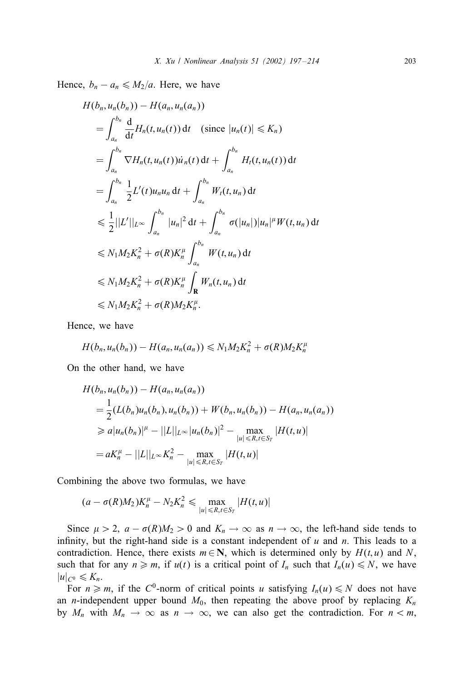Hence,  $b_n - a_n \leq M_2/a$ . Here, we have

$$
H(b_n, u_n(b_n)) - H(a_n, u_n(a_n))
$$
  
\n
$$
= \int_{a_n}^{b_n} \frac{d}{dt} H_n(t, u_n(t)) dt \quad \text{(since } |u_n(t)| \le K_n)
$$
  
\n
$$
= \int_{a_n}^{b_n} \nabla H_n(t, u_n(t)) \dot{u}_n(t) dt + \int_{a_n}^{b_n} H_t(t, u_n(t)) dt
$$
  
\n
$$
= \int_{a_n}^{b_n} \frac{1}{2} L'(t) u_n u_n dt + \int_{a_n}^{b_n} W_t(t, u_n) dt
$$
  
\n
$$
\le \frac{1}{2} ||L'||_{L^{\infty}} \int_{a_n}^{b_n} |u_n|^2 dt + \int_{a_n}^{b_n} \sigma(|u_n|) |u_n|^{\mu} W(t, u_n) dt
$$
  
\n
$$
\le N_1 M_2 K_n^2 + \sigma(R) K_n^{\mu} \int_{a_n}^{b_n} W(t, u_n) dt
$$
  
\n
$$
\le N_1 M_2 K_n^2 + \sigma(R) K_n^{\mu} \int_{\mathbf{R}} W_n(t, u_n) dt
$$
  
\n
$$
\le N_1 M_2 K_n^2 + \sigma(R) M_2 K_n^{\mu}.
$$

Hence, we have

$$
H(b_n,u_n(b_n))-H(a_n,u_n(a_n))\leq N_1M_2K_n^2+\sigma(R)M_2K_n^{\mu}
$$

On the other hand, we have

$$
H(b_n, u_n(b_n)) - H(a_n, u_n(a_n))
$$
  
=  $\frac{1}{2}(L(b_n)u_n(b_n), u_n(b_n)) + W(b_n, u_n(b_n)) - H(a_n, u_n(a_n))$   
 $\geq a|u_n(b_n)|^{\mu} - ||L||_{L^{\infty}}|u_n(b_n)|^2 - \max_{|u| \leq R, t \in S_T} |H(t, u)|$   
=  $aK_n^{\mu} - ||L||_{L^{\infty}}K_n^2 - \max_{|u| \leq R, t \in S_T} |H(t, u)|$ 

Combining the above two formulas, we have

$$
(a - \sigma(R)M_2)K_n^{\mu} - N_2K_n^2 \le \max_{|u| \le R, t \in S_T} |H(t, u)|
$$

Since  $\mu > 2$ ,  $a - \sigma(R)M_2 > 0$  and  $K_n \to \infty$  as  $n \to \infty$ , the left-hand side tends to infinity, but the right-hand side is a constant independent of  $u$  and  $n$ . This leads to a contradiction. Hence, there exists  $m \in \mathbb{N}$ , which is determined only by  $H(t, u)$  and N, such that for any  $n \ge m$ , if  $u(t)$  is a critical point of  $I_n$  such that  $I_n(u) \le N$ , we have  $|u|_{C^0} \leqslant K_n$ .

For  $n \ge m$ , if the C<sup>0</sup>-norm of critical points u satisfying  $I_n(u) \le N$  does not have an *n*-independent upper bound  $M_0$ , then repeating the above proof by replacing  $K_n$ by  $M_n$  with  $M_n \to \infty$  as  $n \to \infty$ , we can also get the contradiction. For  $n < m$ ,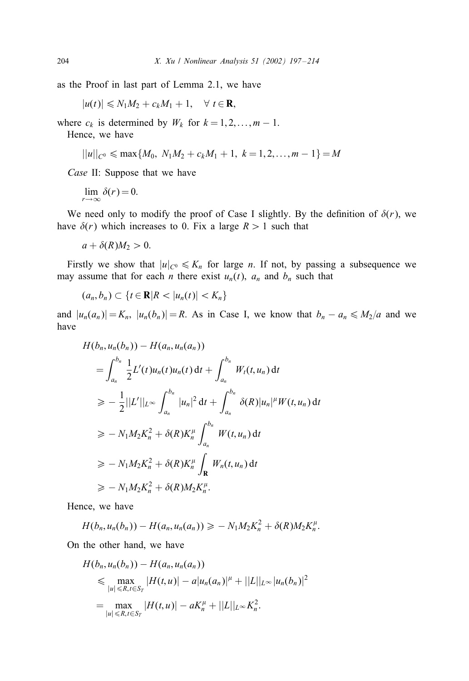as the Proof in last part of Lemma 2.1, we have

 $|u(t)| \leq N_1M_2 + c_kM_1 + 1, \quad \forall t \in \mathbf{R},$ 

where  $c_k$  is determined by  $W_k$  for  $k = 1, 2, \ldots, m - 1$ .

Hence, we have

$$
||u||_{C^0} \leqslant \max\{M_0, N_1M_2 + c_kM_1 + 1, k = 1, 2, ..., m - 1\} = M
$$

*Case* II: Suppose that we have

$$
\lim_{r \to \infty} \delta(r) = 0.
$$

We need only to modify the proof of Case I slightly. By the definition of  $\delta(r)$ , we have  $\delta(r)$  which increases to 0. Fix a large  $R > 1$  such that

$$
a+\delta(R)M_2>0.
$$

Firstly we show that  $|u|_{C^0} \leq K_n$  for large *n*. If not, by passing a subsequence we may assume that for each *n* there exist  $u_n(t)$ ,  $a_n$  and  $b_n$  such that

$$
(a_n,b_n)\subset \{t\in\mathbf{R}|R<|u_n(t)|
$$

and  $|u_n(a_n)| = K_n$ ,  $|u_n(b_n)| = R$ . As in Case I, we know that  $b_n - a_n \le M_2/a$  and we have

$$
H(b_n, u_n(b_n)) - H(a_n, u_n(a_n))
$$
  
=  $\int_{a_n}^{b_n} \frac{1}{2} L'(t) u_n(t) u_n(t) dt + \int_{a_n}^{b_n} W_t(t, u_n) dt$   
 $\ge - \frac{1}{2} ||L'||_{L^{\infty}} \int_{a_n}^{b_n} |u_n|^2 dt + \int_{a_n}^{b_n} \delta(R) |u_n|^{\mu} W(t, u_n) dt$   
 $\ge - N_1 M_2 K_n^2 + \delta(R) K_n^{\mu} \int_{a_n}^{b_n} W(t, u_n) dt$   
 $\ge - N_1 M_2 K_n^2 + \delta(R) K_n^{\mu} \int_{\mathbf{R}} W_n(t, u_n) dt$   
 $\ge - N_1 M_2 K_n^2 + \delta(R) M_2 K_n^{\mu}.$ 

Hence, we have

$$
H(b_n, u_n(b_n)) - H(a_n, u_n(a_n)) \geq -N_1 M_2 K_n^2 + \delta(R) M_2 K_n^{\mu}.
$$

On the other hand, we have

$$
H(b_n, u_n(b_n)) - H(a_n, u_n(a_n))
$$
  
\n
$$
\leq \max_{|u| \leq R, t \in S_T} |H(t, u)| - a|u_n(a_n)|^{\mu} + ||L||_{L^{\infty}} |u_n(b_n)|^2
$$
  
\n
$$
= \max_{|u| \leq R, t \in S_T} |H(t, u)| - aK_n^{\mu} + ||L||_{L^{\infty}} K_n^2.
$$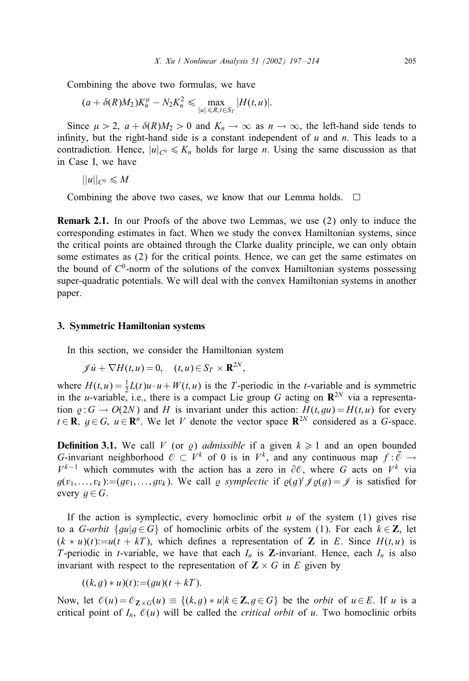Combining the above two formulas, we have

 $(a + \delta(R)M_2)K_n^{\mu} - N_2K_n^2 \le \max_{|u| \le R, t \in S_T}$  $|H(t, u)|$ .

Since  $\mu > 2$ ,  $a + \delta(R)M_2 > 0$  and  $K_n \to \infty$  as  $n \to \infty$ , the left-hand side tends to infinity, but the right-hand side is a constant independent of  $u$  and  $n$ . This leads to a contradiction. Hence,  $|u|_{C^0} \leq K_n$  holds for large n. Using the same discussion as that in Case I, we have

 $||u||_{C^0} \leqslant M$ 

Combining the above two cases, we know that our Lemma holds.  $\Box$ 

Remark 2.1. In our Proofs of the above two Lemmas, we use (2) only to induce the corresponding estimates in fact. When we study the convex Hamiltonian systems, since the critical points are obtained through the Clarke duality principle, we can only obtain some estimates as (2) for the critical points. Hence, we can get the same estimates on the bound of  $C^0$ -norm of the solutions of the convex Hamiltonian systems possessing super-quadratic potentials. We will deal with the convex Hamiltonian systems in another paper.

#### 3. Symmetric Hamiltonian systems

In this section, we consider the Hamiltonian system

$$
\mathscr{J}\dot{u} + \nabla H(t, u) = 0, \quad (t, u) \in S_T \times \mathbf{R}^{2N},
$$

where  $H(t, u) = \frac{1}{2}L(t)u \cdot u + W(t, u)$  is the T-periodic in the t-variable and is symmetric in the *u*-variable, i.e., there is a compact Lie group G acting on  $\mathbb{R}^{2N}$  via a representation  $\rho: G \to O(2N)$  and H is invariant under this action:  $H(t, qu) = H(t, u)$  for every  $t \in \mathbf{R}$ ,  $g \in G$ ,  $u \in \mathbf{R}^{n}$ . We let V denote the vector space  $\mathbf{R}^{2N}$  considered as a G-space.

**Definition 3.1.** We call V (or g) *admissible* if a given  $k \ge 1$  and an open bounded G-invariant neighborhood  $\mathcal{O} \subset V^k$  of 0 is in  $V^k$ , and any continuous map  $f : \bar{\mathcal{O}} \to$  $V^{k-1}$  which commutes with the action has a zero in  $\partial\mathcal{O}$ , where G acts on  $V^k$  via  $g(v_1,...,v_k) := (gv_1,...,gv_k)$ . We call  $\varrho$  symplectic if  $\varrho(g)^t \mathscr{J} \varrho(g) = \mathscr{J}$  is satisfied for every  $g \in G$ .

If the action is symplectic, every homoclinic orbit  $u$  of the system (1) gives rise to a G-orbit  $\{gu|g \in G\}$  of homoclinic orbits of the system (1). For each  $k \in \mathbb{Z}$ , let  $(k * u)(t) := u(t + kT)$ , which defines a representation of Z in E. Since  $H(t, u)$  is T-periodic in *t*-variable, we have that each  $I_n$  is **Z**-invariant. Hence, each  $I_n$  is also invariant with respect to the representation of  $Z \times G$  in E given by

$$
((k, g) * u)(t) := (gu)(t + kT).
$$

Now, let  $\mathcal{O}(u) = \mathcal{O}_{\mathbf{Z} \times G}(u) \equiv \{(k, g) * u | k \in \mathbf{Z}, g \in G\}$  be the *orbit* of  $u \in E$ . If u is a critical point of  $I_n$ ,  $\mathcal{O}(u)$  will be called the *critical orbit* of u. Two homoclinic orbits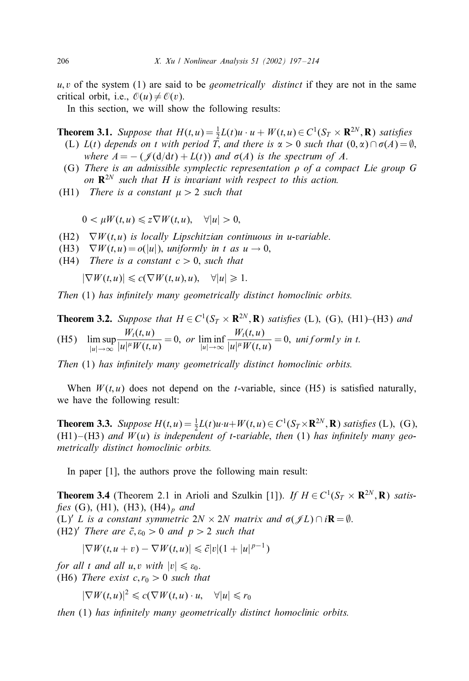u; v of the system (1) are said to be *geometrically distinct* if they are not in the same critical orbit, i.e.,  $\mathcal{O}(u) \neq \mathcal{O}(v)$ .

In this section, we will show the following results:

**Theorem 3.1.** Suppose that  $H(t, u) = \frac{1}{2}L(t)u \cdot u + W(t, u) \in C^1(S_T \times \mathbb{R}^{2N}, \mathbb{R})$  satisfies

- (L)  $L(t)$  *depends on t with period*  $\overline{T}$ *, and there is*  $\alpha > 0$  *such that*  $(0, \alpha) \cap \sigma(A) = \emptyset$ *, where*  $A = -(\mathcal{J}(d/dt) + L(t))$  *and*  $\sigma(A)$  *is the spectrum of A.*
- (G) *There is an admissible symplectic representation*  $\rho$  *of a compact Lie group G on* R<sup>2</sup><sup>N</sup> *such that H is invariant with respect to this action.*
- (H1) *There is a constant*  $\mu > 2$  *such that*

 $0 \leq \mu W(t, u) \leq z \nabla W(t, u), \quad \forall |u| > 0,$ 

- (H2) ∇W (t; u) *is locally Lipschitzian continuous in* u*-variable*.
- (H3)  $\nabla W(t, u) = o(|u|)$ , *uniformly in* t *as*  $u \to 0$ ,
- (H4) *There is a constant*  $c > 0$ *, such that*

 $|\nabla W(t, u)| \leq c(\nabla W(t, u), u), \quad \forall |u| \geq 1.$ 

*Then* (1) has infinitely many geometrically distinct homoclinic orbits.

**Theorem 3.2.** *Suppose that*  $H \in C^1(S_T \times \mathbb{R}^{2N}, \mathbb{R})$  *satisfies* (L), (G), (H1)–(H3) *and* (H5) lim sup  $|u| \rightarrow \infty$  $W_t(t,u)$  $\frac{W_t(x, u)}{|u|^{\mu}W(t, u)} = 0$ , or  $\liminf_{|u| \to \infty}$  $W_t(t, u)$  $\frac{W_1(x, u)}{|u|^{\mu}W(t, u)} = 0$ , uniformly in t.

*Then* (1) has infinitely many geometrically distinct homoclinic orbits.

When  $W(t, u)$  does not depend on the *t*-variable, since (H5) is satisfied naturally, we have the following result:

**Theorem 3.3.** *Suppose*  $H(t, u) = \frac{1}{2}L(t)u \cdot u + W(t, u) \in C^1(S_T \times \mathbb{R}^{2N}, \mathbb{R})$  *satisfies* (L), (G),  $(H1)$ – $(H3)$  *and*  $W(u)$  *is independent of t-variable, then* (1) *has infinitely many geometrically distinct homoclinic orbits.*

In paper [1], the authors prove the following main result:

**Theorem 3.4** (Theorem 2.1 in Arioli and Szulkin [1]). *If*  $H \in C^1(S_T \times \mathbb{R}^{2N}, \mathbb{R})$  *satisfies* (G), (H1), (H3), (H4)<sub>p</sub> and

(L)' L is a constant symmetric  $2N \times 2N$  matrix and  $\sigma(\mathscr{J}L) \cap i\mathbf{R} = \emptyset$ . (H2)<sup>*'*</sup> *There are*  $\bar{c}$ ,  $\varepsilon_0 > 0$  *and*  $p > 2$  *such that* 

$$
|\nabla W(t, u + v) - \nabla W(t, u)| \leq \bar{c}|v|(1 + |u|^{p-1})
$$

*for all t and all u, v with*  $|v| \le \varepsilon_0$ . (H6) *There exist*  $c, r_0 > 0$  *such that* 

 $|\nabla W(t, u)|^2 \leqslant c(\nabla W(t, u) \cdot u, \quad \forall |u| \leqslant r_0$ 

*then* (1) *has in7nitely many geometrically distinct homoclinic orbits.*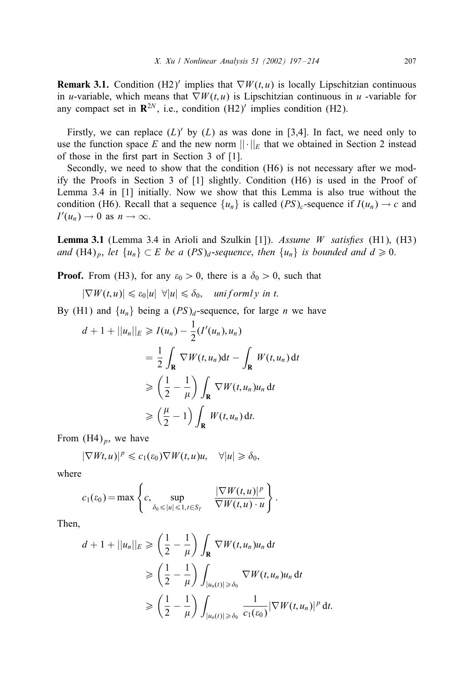**Remark 3.1.** Condition (H2)' implies that  $\nabla W(t, u)$  is locally Lipschitzian continuous in u-variable, which means that  $\nabla W(t, u)$  is Lipschitzian continuous in u-variable for any compact set in  $\mathbb{R}^{2N}$ , i.e., condition (H2)' implies condition (H2).

Firstly, we can replace  $(L)'$  by  $(L)$  as was done in [3,4]. In fact, we need only to use the function space E and the new norm  $||\cdot||_E$  that we obtained in Section 2 instead of those in the first part in Section  $3$  of  $[1]$ .

Secondly, we need to show that the condition (H6) is not necessary after we modify the Proofs in Section 3 of [1] slightly. Condition (H6) is used in the Proof of Lemma 3.4 in [1] initially. Now we show that this Lemma is also true without the condition (H6). Recall that a sequence  $\{u_n\}$  is called  $(PS)_c$ -sequence if  $I(u_n) \to c$  and  $I'(u_n) \to 0$  as  $n \to \infty$ .

**Lemma 3.1** (Lemma 3.4 in Arioli and Szulkin [1]). *Assume W satisfies* (H1), (H3) *and* (H4)<sub>p</sub>, let  $\{u_n\} \subset E$  *be a*  $(PS)_d$ -sequence, then  $\{u_n\}$  *is bounded and*  $d \ge 0$ .

**Proof.** From (H3), for any  $\varepsilon_0 > 0$ , there is a  $\delta_0 > 0$ , such that

 $|\nabla W(t, u)| \leq \varepsilon_0 |u| \ \forall |u| \leq \delta_0$ , uniformly in t.

By (H1) and  $\{u_n\}$  being a  $(PS)<sub>d</sub>$ -sequence, for large *n* we have

$$
d + 1 + ||u_n||_E \ge I(u_n) - \frac{1}{2}(I'(u_n), u_n)
$$
  

$$
= \frac{1}{2} \int_{\mathbf{R}} \nabla W(t, u_n) dt - \int_{\mathbf{R}} W(t, u_n) dt
$$
  

$$
\ge \left(\frac{1}{2} - \frac{1}{\mu}\right) \int_{\mathbf{R}} \nabla W(t, u_n) u_n dt
$$
  

$$
\ge \left(\frac{\mu}{2} - 1\right) \int_{\mathbf{R}} W(t, u_n) dt.
$$

From  $(H4)_p$ , we have

$$
|\nabla Wt, u)|^p \leq c_1(\varepsilon_0) \nabla W(t, u)u, \quad \forall |u| \geq \delta_0,
$$

where

$$
c_1(\varepsilon_0) = \max \left\{ c, \sup_{\delta_0 \leq |u| \leq 1, t \in S_T} \frac{|\nabla W(t, u)|^p}{\nabla W(t, u) \cdot u} \right\}.
$$

Then,

$$
d + 1 + ||u_n||_E \ge \left(\frac{1}{2} - \frac{1}{\mu}\right) \int_{\mathbf{R}} \nabla W(t, u_n) u_n \, dt
$$
  
\n
$$
\ge \left(\frac{1}{2} - \frac{1}{\mu}\right) \int_{|u_n(t)| \ge \delta_0} \nabla W(t, u_n) u_n \, dt
$$
  
\n
$$
\ge \left(\frac{1}{2} - \frac{1}{\mu}\right) \int_{|u_n(t)| \ge \delta_0} \frac{1}{c_1(\epsilon_0)} |\nabla W(t, u_n)|^p \, dt.
$$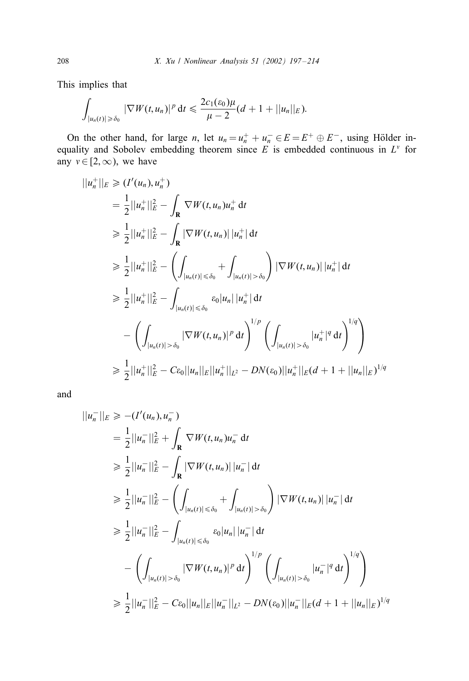This implies that

$$
\int_{|u_n(t)| \geq \delta_0} |\nabla W(t,u_n)|^p dt \leq \frac{2c_1(\varepsilon_0)\mu}{\mu-2}(d+1+||u_n||_E).
$$

On the other hand, for large *n*, let  $u_n = u_n^+ + u_n^- \in E = E^+ \oplus E^-$ , using Hölder inequality and Sobolev embedding theorem since  $E$  is embedded continuous in  $L^{\nu}$  for any  $v \in [2, \infty)$ , we have

$$
||u_{n}^{+}||_{E} \geq (I'(u_{n}), u_{n}^{+})
$$
\n
$$
= \frac{1}{2}||u_{n}^{+}||_{E}^{2} - \int_{\mathbf{R}} \nabla W(t, u_{n})u_{n}^{+} dt
$$
\n
$$
\geq \frac{1}{2}||u_{n}^{+}||_{E}^{2} - \int_{\mathbf{R}} |\nabla W(t, u_{n})||u_{n}^{+}| dt
$$
\n
$$
\geq \frac{1}{2}||u_{n}^{+}||_{E}^{2} - \left(\int_{|u_{n}(t)| \leq \delta_{0}} + \int_{|u_{n}(t)| > \delta_{0}} \right) |\nabla W(t, u_{n})||u_{n}^{+}| dt
$$
\n
$$
\geq \frac{1}{2}||u_{n}^{+}||_{E}^{2} - \int_{|u_{n}(t)| \leq \delta_{0}} \varepsilon_{0} |u_{n}||u_{n}^{+}| dt
$$
\n
$$
- \left(\int_{|u_{n}(t)| > \delta_{0}} |\nabla W(t, u_{n})|^{p} dt\right)^{1/p} \left(\int_{|u_{n}(t)| > \delta_{0}} |u_{n}^{+}|^{q} dt\right)^{1/q}
$$
\n
$$
\geq \frac{1}{2}||u_{n}^{+}||_{E}^{2} - C\varepsilon_{0}||u_{n}||_{E}||u_{n}^{+}||_{L^{2}} - DN(\varepsilon_{0})||u_{n}^{+}||_{E}(d + 1 + ||u_{n}||_{E})^{1/q}
$$

and

$$
||u_{n}^{-}||_{E} \geq - (I'(u_{n}), u_{n}^{-})
$$
  
\n
$$
= \frac{1}{2}||u_{n}^{-}||_{E}^{2} + \int_{\mathbf{R}} \nabla W(t, u_{n})u_{n}^{-} dt
$$
  
\n
$$
\geq \frac{1}{2}||u_{n}^{-}||_{E}^{2} - \int_{\mathbf{R}} |\nabla W(t, u_{n})||u_{n}^{-} dt
$$
  
\n
$$
\geq \frac{1}{2}||u_{n}^{-}||_{E}^{2} - \left(\int_{|u_{n}(t)| \leq \delta_{0}} + \int_{|u_{n}(t)| > \delta_{0}} \right) |\nabla W(t, u_{n})||u_{n}^{-} dt
$$
  
\n
$$
\geq \frac{1}{2}||u_{n}^{-}||_{E}^{2} - \int_{|u_{n}(t)| \leq \delta_{0}} \varepsilon_{0}|u_{n}||u_{n}^{-} dt
$$
  
\n
$$
- \left(\int_{|u_{n}(t)| > \delta_{0}} |\nabla W(t, u_{n})|^{p} dt\right)^{1/p} \left(\int_{|u_{n}(t)| > \delta_{0}} |u_{n}^{-}|^{q} dt\right)^{1/q}
$$
  
\n
$$
\geq \frac{1}{2}||u_{n}^{-}||_{E}^{2} - C\varepsilon_{0}||u_{n}||_{E}||u_{n}^{-}||_{L^{2}} - DN(\varepsilon_{0})||u_{n}^{-}||_{E}(d + 1 + ||u_{n}||_{E})^{1/q}
$$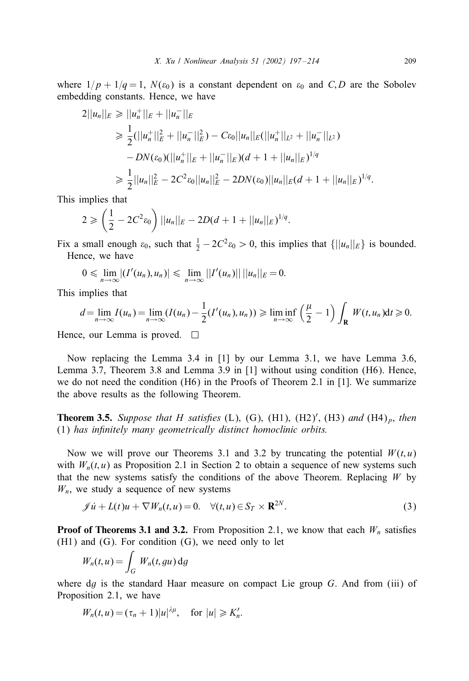where  $1/p + 1/q = 1$ ,  $N(\varepsilon_0)$  is a constant dependent on  $\varepsilon_0$  and C, D are the Sobolev embedding constants. Hence, we have

$$
2||u_n||_E \ge ||u_n^+||_E + ||u_n^-||_E
$$
  
\n
$$
\ge \frac{1}{2}(||u_n^+||_E^2 + ||u_n^-||_E^2) - C\varepsilon_0||u_n||_E(||u_n^+||_{L^2} + ||u_n^-||_{L^2})
$$
  
\n
$$
-DN(\varepsilon_0)(||u_n^+||_E + ||u_n^-||_E)(d+1+||u_n||_E)^{1/q}
$$
  
\n
$$
\ge \frac{1}{2}||u_n||_E^2 - 2C^2\varepsilon_0||u_n||_E^2 - 2DN(\varepsilon_0)||u_n||_E(d+1+||u_n||_E)^{1/q}.
$$

This implies that

$$
2 \geqslant \left(\frac{1}{2} - 2C^2 \varepsilon_0\right) ||u_n||_E - 2D(d+1+||u_n||_E)^{1/q}.
$$

Fix a small enough  $\varepsilon_0$ , such that  $\frac{1}{2} - 2C^2 \varepsilon_0 > 0$ , this implies that  $\{||u_n||_E\}$  is bounded. Hence, we have

$$
0\leqslant \lim_{n\to\infty}|(I'(u_n),u_n)|\leqslant \lim_{n\to\infty}||I'(u_n)||\,||u_n||_E=0.
$$

This implies that

$$
d=\lim_{n\to\infty}I(u_n)=\lim_{n\to\infty}(I(u_n)-\frac{1}{2}(I'(u_n),u_n))\geqslant \liminf_{n\to\infty}\left(\frac{\mu}{2}-1\right)\int_{\mathbf{R}}W(t,u_n)\mathrm{d}t\geqslant 0.
$$

Hence, our Lemma is proved.  $\square$ 

Now replacing the Lemma 3:4 in [1] by our Lemma 3.1, we have Lemma 3:6, Lemma 3:7, Theorem 3:8 and Lemma 3:9 in [1] without using condition (H6). Hence, we do not need the condition (H6) in the Proofs of Theorem 2.1 in [1]. We summarize the above results as the following Theorem.

**Theorem 3.5.** Suppose that H satisfies (L), (G), (H1), (H2)', (H3) and (H4)<sub>p</sub>, then (1) *has in7nitely many geometrically distinct homoclinic orbits.*

Now we will prove our Theorems 3.1 and 3.2 by truncating the potential  $W(t, u)$ with  $W_n(t, u)$  as Proposition 2.1 in Section 2 to obtain a sequence of new systems such that the new systems satisfy the conditions of the above Theorem. Replacing  $W$  by  $W_n$ , we study a sequence of new systems

$$
\mathscr{J}\dot{u} + L(t)u + \nabla W_n(t, u) = 0. \quad \forall (t, u) \in S_T \times \mathbf{R}^{2N}.
$$
 (3)

**Proof of Theorems 3.1 and 3.2.** From Proposition 2.1, we know that each  $W_n$  satisfies (H1) and (G). For condition (G), we need only to let

$$
W_n(t, u) = \int_G W_n(t, gu) \, dg
$$

where  $dg$  is the standard Haar measure on compact Lie group  $G$ . And from (iii) of Proposition 2.1, we have

$$
W_n(t, u) = (\tau_n + 1)|u|^{\lambda \mu}, \quad \text{for } |u| \geqslant K'_n.
$$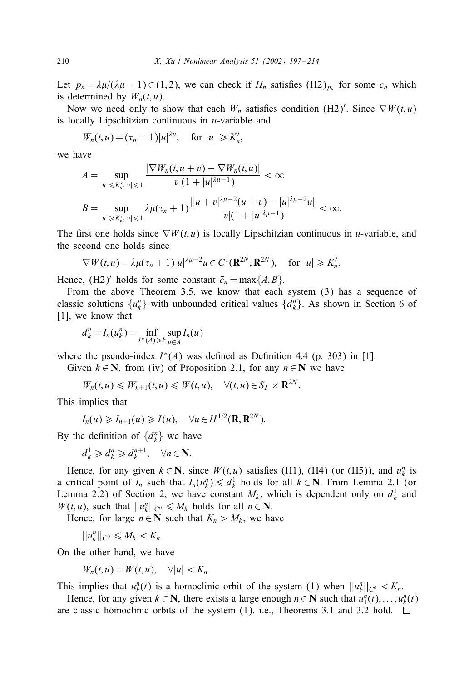Let  $p_n = \lambda \mu / (\lambda \mu - 1) \in (1, 2)$ , we can check if  $H_n$  satisfies  $(H_2)_{p_n}$  for some  $c_n$  which is determined by  $W_n(t, u)$ .

Now we need only to show that each  $W_n$  satisfies condition (H2)'. Since  $\nabla W(t, u)$ is locally Lipschitzian continuous in  $u$ -variable and

 $W_n(t, u) = (\tau_n + 1)|u|^{\lambda \mu}$ , for  $|u| \ge K'_n$ ,

we have

$$
A = \sup_{|u| \le K'_n, |v| \le 1} \frac{|\nabla W_n(t, u + v) - \nabla W_n(t, u)|}{|v|(1 + |u|^{\lambda \mu - 1})} < \infty
$$
  

$$
B = \sup_{|u| \ge K'_n, |v| \le 1} \lambda \mu(\tau_n + 1) \frac{||u + v|^{\lambda \mu - 2}(u + v) - |u|^{\lambda \mu - 2}u|}{|v|(1 + |u|^{\lambda \mu - 1})} < \infty.
$$

The first one holds since  $\nabla W(t, u)$  is locally Lipschitzian continuous in u-variable, and the second one holds since

$$
\nabla W(t, u) = \lambda \mu(\tau_n + 1) |u|^{\lambda \mu - 2} u \in C^1(\mathbf{R}^{2N}, \mathbf{R}^{2N}), \quad \text{for } |u| \geqslant K'_n.
$$

Hence,  $(H2)'$  holds for some constant  $\bar{c}_n = \max\{A, B\}.$ 

From the above Theorem 3.5, we know that each system (3) has a sequence of classic solutions  $\{u_k^n\}$  with unbounded critical values  $\{d_k^n\}$ . As shown in Section 6 of [1], we know that

$$
d_k^n = I_n(u_k^n) = \inf_{I^*(A) \ge k} \sup_{u \in A} I_n(u)
$$

where the pseudo-index  $I^*(A)$  was defined as Definition 4.4 (p. 303) in [1].

Given  $k \in \mathbb{N}$ , from (iv) of Proposition 2.1, for any  $n \in \mathbb{N}$  we have

$$
W_n(t,u)\leq W_{n+1}(t,u)\leq W(t,u),\quad \forall (t,u)\in S_T\times \mathbf{R}^{2N}.
$$

This implies that

$$
I_n(u) \geqslant I_{n+1}(u) \geqslant I(u), \quad \forall u \in H^{1/2}(\mathbf{R}, \mathbf{R}^{2N}).
$$

By the definition of  $\{d_k^n\}$  we have

$$
d_k^1 \geq d_k^n \geq d_k^{n+1}, \quad \forall n \in \mathbb{N}.
$$

Hence, for any given  $k \in \mathbb{N}$ , since  $W(t, u)$  satisfies (H1), (H4) (or (H5)), and  $u_k^n$  is a critical point of  $I_n$  such that  $I_n(u_k^n) \leq d_k^1$  holds for all  $k \in \mathbb{N}$ . From Lemma 2.1 (or Lemma 2.2) of Section 2, we have constant  $M_k$ , which is dependent only on  $d_k^1$  and  $W(t, u)$ , such that  $||u_k^n||_{C^0} \le M_k$  holds for all  $n \in \mathbb{N}$ .

Hence, for large  $n \in \mathbb{N}$  such that  $K_n > M_k$ , we have

 $||u_k^n||_{C^0} \leq M_k < K_n.$ 

On the other hand, we have

$$
W_n(t, u) = W(t, u), \quad \forall |u| < K_n.
$$

This implies that  $u_k^n(t)$  is a homoclinic orbit of the system (1) when  $||u_k^n||_{C^0} < K_n$ .

Hence, for any given  $k \in \mathbb{N}$ , there exists a large enough  $n \in \mathbb{N}$  such that  $u_1^n(t), \ldots, u_k^n(t)$ are classic homoclinic orbits of the system (1). i.e., Theorems 3.1 and 3.2 hold.  $\square$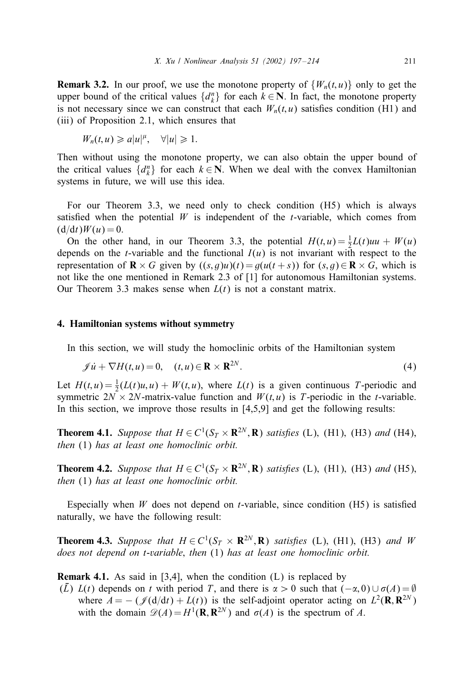**Remark 3.2.** In our proof, we use the monotone property of  $\{W_n(t, u)\}$  only to get the upper bound of the critical values  $\{d_k^n\}$  for each  $k \in \mathbb{N}$ . In fact, the monotone property is not necessary since we can construct that each  $W_n(t, u)$  satisfies condition (H1) and (iii) of Proposition 2.1, which ensures that

$$
W_n(t, u) \geq a |u|^{\mu}, \quad \forall |u| \geq 1.
$$

Then without using the monotone property, we can also obtain the upper bound of the critical values  $\{d_k^n\}$  for each  $k \in \mathbb{N}$ . When we deal with the convex Hamiltonian systems in future, we will use this idea.

For our Theorem 3.3, we need only to check condition (H5) which is always satisfied when the potential  $W$  is independent of the t-variable, which comes from  $(d/dt)W(u) = 0.$ 

On the other hand, in our Theorem 3.3, the potential  $H(t, u) = \frac{1}{2}L(t)uu + W(u)$ depends on the *t*-variable and the functional  $I(u)$  is not invariant with respect to the representation of  $\mathbf{R} \times G$  given by  $((s, g)u)(t) = g(u(t + s))$  for  $(s, g) \in \mathbf{R} \times G$ , which is not like the one mentioned in Remark 2:3 of [1] for autonomous Hamiltonian systems. Our Theorem 3.3 makes sense when  $L(t)$  is not a constant matrix.

#### 4. Hamiltonian systems without symmetry

In this section, we will study the homoclinic orbits of the Hamiltonian system

$$
\mathscr{J}\dot{u} + \nabla H(t, u) = 0, \quad (t, u) \in \mathbf{R} \times \mathbf{R}^{2N}.
$$
 (4)

Let  $H(t, u) = \frac{1}{2}(L(t)u, u) + W(t, u)$ , where  $L(t)$  is a given continuous T-periodic and symmetric  $2N \times 2N$ -matrix-value function and  $W(t, u)$  is T-periodic in the t-variable. In this section, we improve those results in  $[4,5,9]$  and get the following results:

**Theorem 4.1.** *Suppose that*  $H \in C^1(S_T \times \mathbb{R}^{2N}, \mathbb{R})$  *satisfies* (L), (H1), (H3) *and* (H4), *then* (1) *has at least one homoclinic orbit.*

**Theorem 4.2.** *Suppose that*  $H \in C^1(S_T \times \mathbb{R}^{2N}, \mathbb{R})$  *satisfies* (L), (H1), (H3) *and* (H5), *then* (1) *has at least one homoclinic orbit.*

Especially when W does not depend on *t*-variable, since condition  $(H5)$  is satisfied naturally, we have the following result:

**Theorem 4.3.** Suppose that  $H \in C^1(S_T \times \mathbb{R}^{2N}, \mathbb{R})$  satisfies (L), (H1), (H3) and W *does not depend on* t*-variable*; *then* (1) *has at least one homoclinic orbit.*

**Remark 4.1.** As said in [3,4], when the condition  $(L)$  is replaced by

(L) L(t) depends on t with period T, and there is  $\alpha > 0$  such that  $(-\alpha, 0) \cup \sigma(A) = \emptyset$ where  $A = -(\mathcal{J}(d/dt) + L(t))$  is the self-adjoint operator acting on  $L^2(\mathbf{R}, \mathbf{R}^{2N})$ with the domain  $\mathscr{D}(A) = H^1(\mathbf{R}, \mathbf{R}^{2N})$  and  $\sigma(A)$  is the spectrum of A.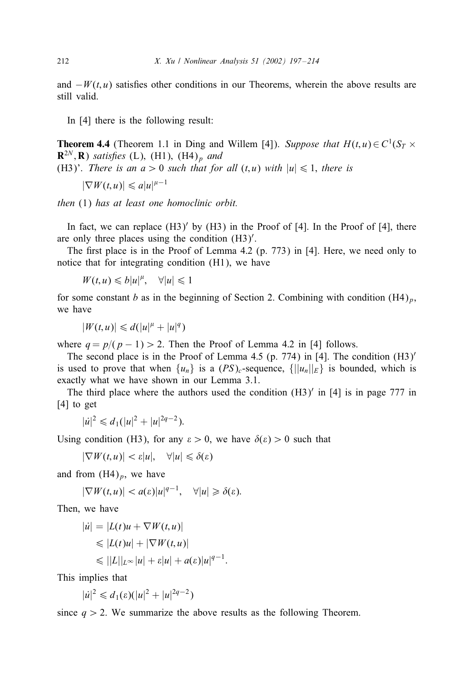and  $-W(t, u)$  satisfies other conditions in our Theorems, wherein the above results are still valid.

In [4] there is the following result:

**Theorem 4.4** (Theorem 1.1 in Ding and Willem [4]). *Suppose that*  $H(t, u) \in C^1(S_T \times$  $\mathbb{R}^{2N}, \mathbb{R}$ ) *satisfies* (L), (H1), (H4)<sub>p</sub> and (H3)'. *There is an*  $a > 0$  *such that for all*  $(t, u)$  *with*  $|u| \leq 1$ *, there is* 

 $|\nabla W(t, u)| \leq a |u|^{\mu - 1}$ 

*then* (1) *has at least one homoclinic orbit.*

In fact, we can replace  $(H3)'$  by  $(H3)$  in the Proof of [4]. In the Proof of [4], there are only three places using the condition (H3) .

The first place is in the Proof of Lemma 4.2 (p. 773) in [4]. Here, we need only to notice that for integrating condition (H1), we have

$$
W(t, u) \leq b|u|^{\mu}, \quad \forall |u| \leq 1
$$

for some constant b as in the beginning of Section 2. Combining with condition  $(H4)_p$ , we have

$$
|W(t, u)| \le d(|u|^{\mu} + |u|^q)
$$

where  $q = p/(p - 1) > 2$ . Then the Proof of Lemma 4.2 in [4] follows.

The second place is in the Proof of Lemma 4.5 (p. 774) in [4]. The condition  $(H3)'$ is used to prove that when  $\{u_n\}$  is a  $(PS)_c$ -sequence,  $\{||u_n||_E\}$  is bounded, which is exactly what we have shown in our Lemma 3.1.

The third place where the authors used the condition  $(H3)'$  in [4] is in page 777 in [4] to get

$$
|u|^2 \leq d_1(|u|^2 + |u|^{2q-2}).
$$

Using condition (H3), for any  $\epsilon > 0$ , we have  $\delta(\epsilon) > 0$  such that

$$
|\nabla W(t, u)| < \varepsilon |u|, \quad \forall |u| \leq \delta(\varepsilon)
$$

and from  $(H4)_p$ , we have

$$
|\nabla W(t, u)| < a(\varepsilon)|u|^{q-1}, \quad \forall |u| \geq \delta(\varepsilon).
$$

Then, we have

$$
|u| = |L(t)u + \nabla W(t, u)|
$$
  
\n
$$
\leq |L(t)u| + |\nabla W(t, u)|
$$
  
\n
$$
\leq ||L||_{L^{\infty}}|u| + \varepsilon |u| + a(\varepsilon)|u|^{q-1}.
$$

This implies that

$$
|\dot{u}|^2 \leq d_1(\varepsilon)(|u|^2+|u|^{2q-2})
$$

since  $q > 2$ . We summarize the above results as the following Theorem.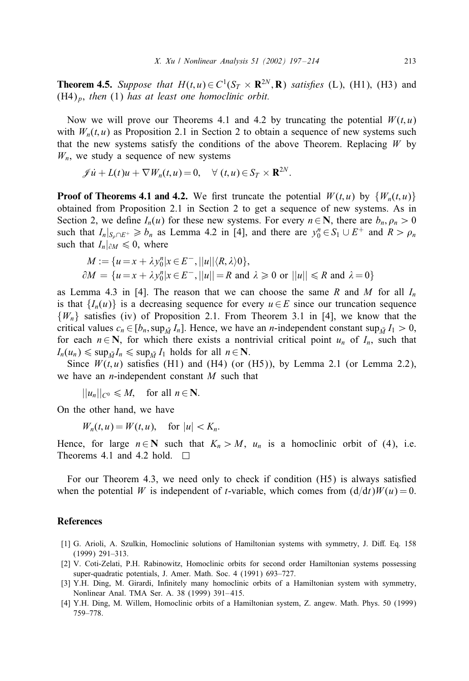**Theorem 4.5.** *Suppose that*  $H(t, u) \in C^1(S_T \times \mathbb{R}^{2N}, \mathbb{R})$  *satisfies* (L), (H1), (H3) and  $(H4)_p$ , *then* (1) *has at least one homoclinic orbit.* 

Now we will prove our Theorems 4.1 and 4.2 by truncating the potential  $W(t, u)$ with  $W_n(t, u)$  as Proposition 2.1 in Section 2 to obtain a sequence of new systems such that the new systems satisfy the conditions of the above Theorem. Replacing  $W$  by  $W_n$ , we study a sequence of new systems

$$
\mathscr{J}u + L(t)u + \nabla W_n(t, u) = 0, \quad \forall (t, u) \in S_T \times \mathbf{R}^{2N}.
$$

**Proof of Theorems 4.1 and 4.2.** We first truncate the potential  $W(t, u)$  by  $\{W_n(t, u)\}$ obtained from Proposition 2.1 in Section 2 to get a sequence of new systems. As in Section 2, we define  $I_n(u)$  for these new systems. For every  $n \in \mathbb{N}$ , there are  $b_n, \rho_n > 0$ such that  $I_n|_{S_n \cap E^+} \ge b_n$  as Lemma 4.2 in [4], and there are  $y_0^n \in S_1 \cup E^+$  and  $R > \rho_n$ such that  $I_n|_{\partial M} \leq 0$ , where

$$
M := \{u = x + \lambda y_0^n | x \in E^-, ||u|| \langle R, \lambda \rangle 0\},\
$$
  

$$
\partial M = \{u = x + \lambda y_0^n | x \in E^-, ||u|| = R \text{ and } \lambda \ge 0 \text{ or } ||u|| \le R \text{ and } \lambda = 0\}
$$

as Lemma 4.3 in [4]. The reason that we can choose the same R and M for all  $I_n$ is that  $\{I_n(u)\}\$ is a decreasing sequence for every  $u \in E$  since our truncation sequence  ${W_n}$  satisfies (iv) of Proposition 2.1. From Theorem 3.1 in [4], we know that the critical values  $c_n \in [b_n, \sup_{M} I_n]$ . Hence, we have an *n*-independent constant  $\sup_{M} I_1 > 0$ , for each  $n \in \mathbb{N}$ , for which there exists a nontrivial critical point  $u_n$  of  $I_n$ , such that  $I_n(u_n) \leq \sup_{\bar{M}} I_n \leq \sup_{\bar{M}} I_1$  holds for all  $n \in \mathbb{N}$ .

Since  $W(t, u)$  satisfies (H1) and (H4) (or (H5)), by Lemma 2.1 (or Lemma 2.2), we have an *n*-independent constant  $M$  such that

 $||u_n||_{C^0} \leq M$ , for all  $n \in \mathbb{N}$ .

On the other hand, we have

 $W_n(t, u) = W(t, u)$ , for  $|u| < K_n$ .

Hence, for large  $n \in \mathbb{N}$  such that  $K_n > M$ ,  $u_n$  is a homoclinic orbit of (4), i.e. Theorems 4.1 and 4.2 hold.  $\Box$ 

For our Theorem 4.3, we need only to check if condition  $(H5)$  is always satisfied when the potential W is independent of t-variable, which comes from  $(d/dt)W(u) = 0$ .

## References

- [1] G. Arioli, A. Szulkin, Homoclinic solutions of Hamiltonian systems with symmetry, J. Diff. Eq. 158 (1999) 291–313.
- [2] V. Coti-Zelati, P.H. Rabinowitz, Homoclinic orbits for second order Hamiltonian systems possessing super-quadratic potentials, J. Amer. Math. Soc. 4 (1991) 693–727.
- [3] Y.H. Ding, M. Girardi, Infinitely many homoclinic orbits of a Hamiltonian system with symmetry, Nonlinear Anal. TMA Ser. A. 38 (1999) 391– 415.
- [4] Y.H. Ding, M. Willem, Homoclinic orbits of a Hamiltonian system, Z. angew. Math. Phys. 50 (1999) 759–778.